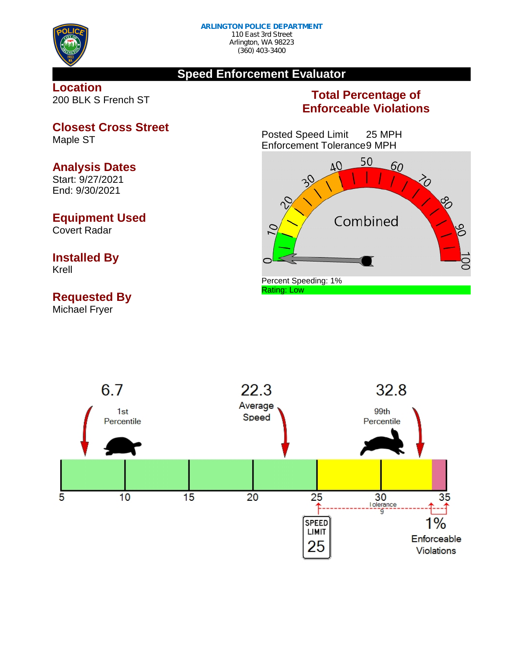

## **Speed Enforcement Evaluator**

**Location** 200 BLK S French ST

## **Total Percentage of Enforceable Violations**

Posted Speed Limit 25 MPH Enforcement Tolerance9 MPH





**Closest Cross Street** Maple ST

## **Analysis Dates**

Start: 9/27/2021 End: 9/30/2021

## **Equipment Used**

Covert Radar

# **Installed By**

Krell

## **Requested By**

Michael Fryer